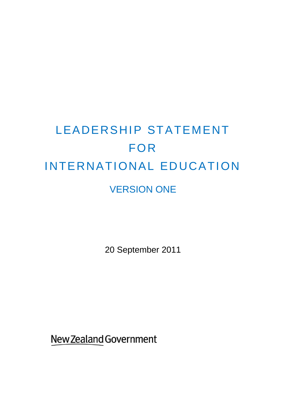# LEADERSHIP STATEMENT FOR INTERNATIONAL EDUCATION VERSION ONE

20 September 2011

New Zealand Government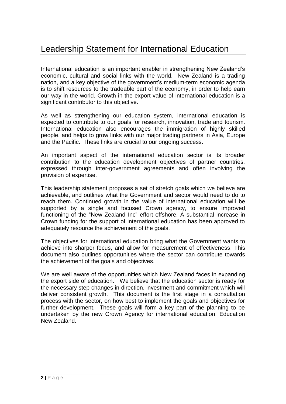# Leadership Statement for International Education

International education is an important enabler in strengthening New Zealand"s economic, cultural and social links with the world. New Zealand is a trading nation, and a key objective of the government"s medium-term economic agenda is to shift resources to the tradeable part of the economy, in order to help earn our way in the world. Growth in the export value of international education is a significant contributor to this objective.

As well as strengthening our education system, international education is expected to contribute to our goals for research, innovation, trade and tourism. International education also encourages the immigration of highly skilled people, and helps to grow links with our major trading partners in Asia, Europe and the Pacific. These links are crucial to our ongoing success.

An important aspect of the international education sector is its broader contribution to the education development objectives of partner countries, expressed through inter-government agreements and often involving the provision of expertise.

This leadership statement proposes a set of stretch goals which we believe are achievable, and outlines what the Government and sector would need to do to reach them. Continued growth in the value of international education will be supported by a single and focused Crown agency, to ensure improved functioning of the "New Zealand Inc" effort offshore. A substantial increase in Crown funding for the support of international education has been approved to adequately resource the achievement of the goals.

The objectives for international education bring what the Government wants to achieve into sharper focus, and allow for measurement of effectiveness. This document also outlines opportunities where the sector can contribute towards the achievement of the goals and objectives.

We are well aware of the opportunities which New Zealand faces in expanding the export side of education. We believe that the education sector is ready for the necessary step changes in direction, investment and commitment which will deliver consistent growth. This document is the first stage in a consultation process with the sector, on how best to implement the goals and objectives for further development. These goals will form a key part of the planning to be undertaken by the new Crown Agency for international education, Education New Zealand.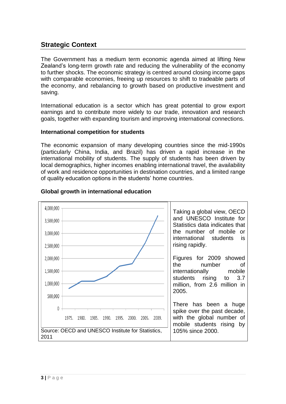# **Strategic Context**

The Government has a medium term economic agenda aimed at lifting New Zealand"s long-term growth rate and reducing the vulnerability of the economy to further shocks. The economic strategy is centred around closing income gaps with comparable economies, freeing up resources to shift to tradeable parts of the economy, and rebalancing to growth based on productive investment and saving.

International education is a sector which has great potential to grow export earnings and to contribute more widely to our trade, innovation and research goals, together with expanding tourism and improving international connections.

#### **International competition for students**

The economic expansion of many developing countries since the mid-1990s (particularly China, India, and Brazil) has driven a rapid increase in the international mobility of students. The supply of students has been driven by local demographics, higher incomes enabling international travel, the availability of work and residence opportunities in destination countries, and a limited range of quality education options in the students' home countries.



#### **Global growth in international education**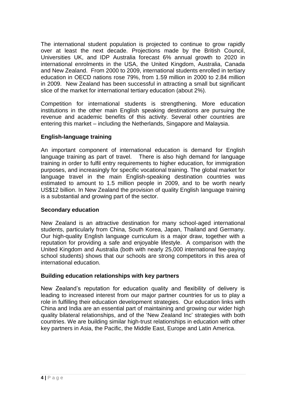The international student population is projected to continue to grow rapidly over at least the next decade. Projections made by the British Council, Universities UK, and IDP Australia forecast 6% annual growth to 2020 in international enrolments in the USA, the United Kingdom, Australia, Canada and New Zealand. From 2000 to 2009, international students enrolled in tertiary education in OECD nations rose 79%, from 1.59 million in 2000 to 2.84 million in 2009. New Zealand has been successful in attracting a small but significant slice of the market for international tertiary education (about 2%).

Competition for international students is strengthening. More education institutions in the other main English speaking destinations are pursuing the revenue and academic benefits of this activity. Several other countries are entering this market – including the Netherlands, Singapore and Malaysia.

#### **English-language training**

An important component of international education is demand for English language training as part of travel. There is also high demand for language training in order to fulfil entry requirements to higher education, for immigration purposes, and increasingly for specific vocational training. The global market for language travel in the main English-speaking destination countries was estimated to amount to 1.5 million people in 2009, and to be worth nearly US\$12 billion. In New Zealand the provision of quality English language training is a substantial and growing part of the sector.

#### **Secondary education**

New Zealand is an attractive destination for many school-aged international students, particularly from China, South Korea, Japan, Thailand and Germany. Our high-quality English language curriculum is a major draw, together with a reputation for providing a safe and enjoyable lifestyle. A comparison with the United Kingdom and Australia (both with nearly 25,000 international fee-paying school students) shows that our schools are strong competitors in this area of international education.

#### **Building education relationships with key partners**

New Zealand"s reputation for education quality and flexibility of delivery is leading to increased interest from our major partner countries for us to play a role in fulfilling their education development strategies. Our education links with China and India are an essential part of maintaining and growing our wider high quality bilateral relationships, and of the "New Zealand Inc" strategies with both countries. We are building similar high-trust relationships in education with other key partners in Asia, the Pacific, the Middle East, Europe and Latin America.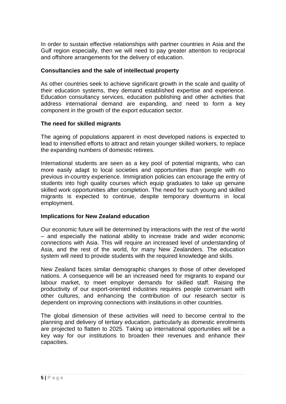In order to sustain effective relationships with partner countries in Asia and the Gulf region especially, then we will need to pay greater attention to reciprocal and offshore arrangements for the delivery of education.

#### **Consultancies and the sale of intellectual property**

As other countries seek to achieve significant growth in the scale and quality of their education systems, they demand established expertise and experience. Education consultancy services, education publishing and other activities that address international demand are expanding, and need to form a key component in the growth of the export education sector.

#### **The need for skilled migrants**

The ageing of populations apparent in most developed nations is expected to lead to intensified efforts to attract and retain younger skilled workers, to replace the expanding numbers of domestic retirees.

International students are seen as a key pool of potential migrants, who can more easily adapt to local societies and opportunities than people with no previous in-country experience. Immigration policies can encourage the entry of students into high quality courses which equip graduates to take up genuine skilled work opportunities after completion. The need for such young and skilled migrants is expected to continue, despite temporary downturns in local employment.

#### **Implications for New Zealand education**

Our economic future will be determined by interactions with the rest of the world – and especially the national ability to increase trade and wider economic connections with Asia. This will require an increased level of understanding of Asia, and the rest of the world, for many New Zealanders. The education system will need to provide students with the required knowledge and skills.

New Zealand faces similar demographic changes to those of other developed nations. A consequence will be an increased need for migrants to expand our labour market, to meet employer demands for skilled staff. Raising the productivity of our export-oriented industries requires people conversant with other cultures, and enhancing the contribution of our research sector is dependent on improving connections with institutions in other countries.

The global dimension of these activities will need to become central to the planning and delivery of tertiary education, particularly as domestic enrolments are projected to flatten to 2025. Taking up international opportunities will be a key way for our institutions to broaden their revenues and enhance their capacities.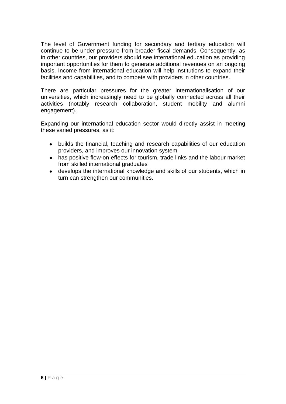The level of Government funding for secondary and tertiary education will continue to be under pressure from broader fiscal demands. Consequently, as in other countries, our providers should see international education as providing important opportunities for them to generate additional revenues on an ongoing basis. Income from international education will help institutions to expand their facilities and capabilities, and to compete with providers in other countries.

There are particular pressures for the greater internationalisation of our universities, which increasingly need to be globally connected across all their activities (notably research collaboration, student mobility and alumni engagement).

Expanding our international education sector would directly assist in meeting these varied pressures, as it:

- builds the financial, teaching and research capabilities of our education providers, and improves our innovation system
- has positive flow-on effects for tourism, trade links and the labour market from skilled international graduates
- develops the international knowledge and skills of our students, which in turn can strengthen our communities.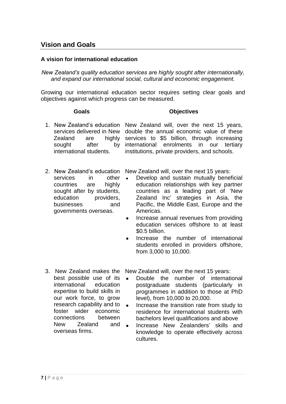### **Vision and Goals**

#### **A vision for international education**

*New Zealand's quality education services are highly sought after internationally, and expand our international social, cultural and economic engagement.*

Growing our international education sector requires setting clear goals and objectives against which progress can be measured.

#### **Goals Objectives**

- 1. New Zealand"s education New Zealand will, over the next 15 years, services delivered in New double the annual economic value of these Zealand are sought after international students. highly services to \$5 billion, through increasing by international enrolments in our tertiary institutions, private providers, and schools.
- services in other countries are highly sought after by students, education providers. businesses and governments overseas.

2. New Zealand's education New Zealand will, over the next 15 years:

- Develop and sustain mutually beneficial education relationships with key partner countries as a leading part of "New Zealand Inc" strategies in Asia, the Pacific, the Middle East, Europe and the Americas.
- Increase annual revenues from providing  $\bullet$ education services offshore to at least \$0.5 billion.
- Increase the number of international students enrolled in providers offshore, from 3,000 to 10,000.
- 3. New Zealand makes the best possible use of its international education expertise to build skills in our work force, to grow research capability and to  $\bullet$ foster wider economic connections between New Zealand and **A** overseas firms.

New Zealand will, over the next 15 years:

- Double the number of international postgraduate students (particularly in programmes in addition to those at PhD level), from 10,000 to 20,000.
- Increase the transition rate from study to residence for international students with bachelors level qualifications and above
- Increase New Zealanders" skills and knowledge to operate effectively across cultures.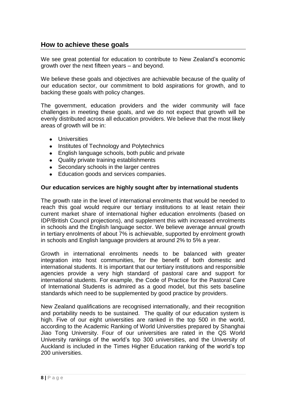## **How to achieve these goals**

We see great potential for education to contribute to New Zealand"s economic growth over the next fifteen years – and beyond.

We believe these goals and objectives are achievable because of the quality of our education sector, our commitment to bold aspirations for growth, and to backing these goals with policy changes.

The government, education providers and the wider community will face challenges in meeting these goals, and we do not expect that growth will be evenly distributed across all education providers. We believe that the most likely areas of growth will be in:

- **•** Universities
- Institutes of Technology and Polytechnics
- English language schools, both public and private
- Quality private training establishments
- Secondary schools in the larger centres
- Education goods and services companies.

#### **Our education services are highly sought after by international students**

The growth rate in the level of international enrolments that would be needed to reach this goal would require our tertiary institutions to at least retain their current market share of international higher education enrolments (based on IDP/British Council projections), and supplement this with increased enrolments in schools and the English language sector. We believe average annual growth in tertiary enrolments of about 7% is achievable, supported by enrolment growth in schools and English language providers at around 2% to 5% a year.

Growth in international enrolments needs to be balanced with greater integration into host communities, for the benefit of both domestic and international students. It is important that our tertiary institutions and responsible agencies provide a very high standard of pastoral care and support for international students. For example, the Code of Practice for the Pastoral Care of International Students is admired as a good model, but this sets baseline standards which need to be supplemented by good practice by providers.

New Zealand qualifications are recognised internationally, and their recognition and portability needs to be sustained. The quality of our education system is high. Five of our eight universities are ranked in the top 500 in the world, according to the Academic Ranking of World Universities prepared by Shanghai Jiao Tong University. Four of our universities are rated in the QS World University rankings of the world"s top 300 universities, and the University of Auckland is included in the Times Higher Education ranking of the world"s top 200 universities.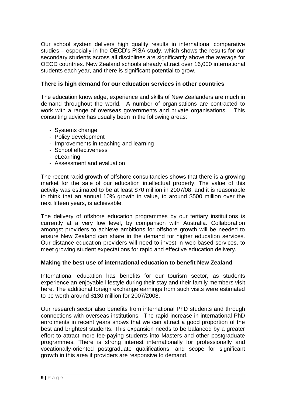Our school system delivers high quality results in international comparative studies – especially in the OECD"s PISA study, which shows the results for our secondary students across all disciplines are significantly above the average for OECD countries. New Zealand schools already attract over 16,000 international students each year, and there is significant potential to grow.

#### **There is high demand for our education services in other countries**

The education knowledge, experience and skills of New Zealanders are much in demand throughout the world. A number of organisations are contracted to work with a range of overseas governments and private organisations. This consulting advice has usually been in the following areas:

- Systems change
- Policy development
- Improvements in teaching and learning
- School effectiveness
- eLearning
- Assessment and evaluation

The recent rapid growth of offshore consultancies shows that there is a growing market for the sale of our education intellectual property. The value of this activity was estimated to be at least \$70 million in 2007/08, and it is reasonable to think that an annual 10% growth in value, to around \$500 million over the next fifteen years, is achievable.

The delivery of offshore education programmes by our tertiary institutions is currently at a very low level, by comparison with Australia. Collaboration amongst providers to achieve ambitions for offshore growth will be needed to ensure New Zealand can share in the demand for higher education services. Our distance education providers will need to invest in web-based services, to meet growing student expectations for rapid and effective education delivery.

#### **Making the best use of international education to benefit New Zealand**

International education has benefits for our tourism sector, as students experience an enjoyable lifestyle during their stay and their family members visit here. The additional foreign exchange earnings from such visits were estimated to be worth around \$130 million for 2007/2008.

Our research sector also benefits from international PhD students and through connections with overseas institutions. The rapid increase in international PhD enrolments in recent years shows that we can attract a good proportion of the best and brightest students. This expansion needs to be balanced by a greater effort to attract more fee-paying students into Masters and other postgraduate programmes. There is strong interest internationally for professionally and vocationally-oriented postgraduate qualifications, and scope for significant growth in this area if providers are responsive to demand.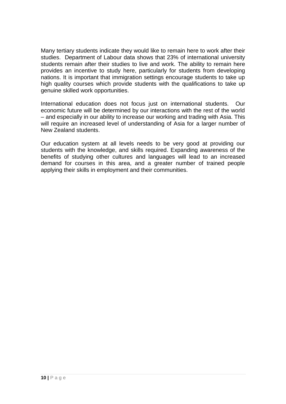Many tertiary students indicate they would like to remain here to work after their studies. Department of Labour data shows that 23% of international university students remain after their studies to live and work. The ability to remain here provides an incentive to study here, particularly for students from developing nations. It is important that immigration settings encourage students to take up high quality courses which provide students with the qualifications to take up genuine skilled work opportunities.

International education does not focus just on international students. Our economic future will be determined by our interactions with the rest of the world – and especially in our ability to increase our working and trading with Asia. This will require an increased level of understanding of Asia for a larger number of New Zealand students.

Our education system at all levels needs to be very good at providing our students with the knowledge, and skills required. Expanding awareness of the benefits of studying other cultures and languages will lead to an increased demand for courses in this area, and a greater number of trained people applying their skills in employment and their communities.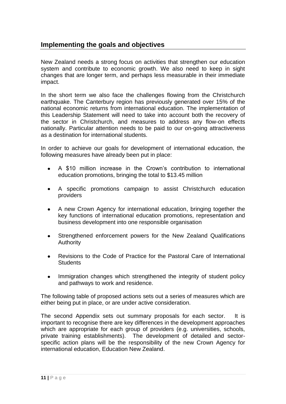# **Implementing the goals and objectives**

New Zealand needs a strong focus on activities that strengthen our education system and contribute to economic growth. We also need to keep in sight changes that are longer term, and perhaps less measurable in their immediate impact.

In the short term we also face the challenges flowing from the Christchurch earthquake. The Canterbury region has previously generated over 15% of the national economic returns from international education. The implementation of this Leadership Statement will need to take into account both the recovery of the sector in Christchurch, and measures to address any flow-on effects nationally. Particular attention needs to be paid to our on-going attractiveness as a destination for international students.

In order to achieve our goals for development of international education, the following measures have already been put in place:

- A \$10 million increase in the Crown"s contribution to international education promotions, bringing the total to \$13.45 million
- A specific promotions campaign to assist Christchurch education providers
- A new Crown Agency for international education, bringing together the  $\bullet$ key functions of international education promotions, representation and business development into one responsible organisation
- Strengthened enforcement powers for the New Zealand Qualifications Authority
- Revisions to the Code of Practice for the Pastoral Care of International **Students**
- Immigration changes which strengthened the integrity of student policy  $\bullet$ and pathways to work and residence.

The following table of proposed actions sets out a series of measures which are either being put in place, or are under active consideration.

The second Appendix sets out summary proposals for each sector. It is important to recognise there are key differences in the development approaches which are appropriate for each group of providers (e.g. universities, schools, private training establishments). The development of detailed and sectorspecific action plans will be the responsibility of the new Crown Agency for international education, Education New Zealand.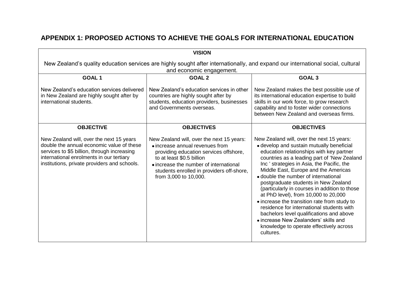# **APPENDIX 1: PROPOSED ACTIONS TO ACHIEVE THE GOALS FOR INTERNATIONAL EDUCATION**

| <b>VISION</b>                                                                                                                                                                                                                    |                                                                                                                                                                                                                                                                     |                                                                                                                                                                                                                                                                                                                                                                                                                                                                                                                                                                                                                                                                                            |  |
|----------------------------------------------------------------------------------------------------------------------------------------------------------------------------------------------------------------------------------|---------------------------------------------------------------------------------------------------------------------------------------------------------------------------------------------------------------------------------------------------------------------|--------------------------------------------------------------------------------------------------------------------------------------------------------------------------------------------------------------------------------------------------------------------------------------------------------------------------------------------------------------------------------------------------------------------------------------------------------------------------------------------------------------------------------------------------------------------------------------------------------------------------------------------------------------------------------------------|--|
| New Zealand's quality education services are highly sought after internationally, and expand our international social, cultural<br>and economic engagement.                                                                      |                                                                                                                                                                                                                                                                     |                                                                                                                                                                                                                                                                                                                                                                                                                                                                                                                                                                                                                                                                                            |  |
| <b>GOAL1</b>                                                                                                                                                                                                                     | <b>GOAL 2</b>                                                                                                                                                                                                                                                       | GOAL <sub>3</sub>                                                                                                                                                                                                                                                                                                                                                                                                                                                                                                                                                                                                                                                                          |  |
| New Zealand's education services delivered<br>in New Zealand are highly sought after by<br>international students.                                                                                                               | New Zealand's education services in other<br>countries are highly sought after by<br>students, education providers, businesses<br>and Governments overseas.                                                                                                         | New Zealand makes the best possible use of<br>its international education expertise to build<br>skills in our work force, to grow research<br>capability and to foster wider connections<br>between New Zealand and overseas firms.                                                                                                                                                                                                                                                                                                                                                                                                                                                        |  |
| <b>OBJECTIVE</b>                                                                                                                                                                                                                 | <b>OBJECTIVES</b>                                                                                                                                                                                                                                                   | <b>OBJECTIVES</b>                                                                                                                                                                                                                                                                                                                                                                                                                                                                                                                                                                                                                                                                          |  |
| New Zealand will, over the next 15 years<br>double the annual economic value of these<br>services to \$5 billion, through increasing<br>international enrolments in our tertiary<br>institutions, private providers and schools. | New Zealand will, over the next 15 years:<br>• increase annual revenues from<br>providing education services offshore,<br>to at least \$0.5 billion<br>• increase the number of international<br>students enrolled in providers off-shore,<br>from 3,000 to 10,000. | New Zealand will, over the next 15 years:<br>• develop and sustain mutually beneficial<br>education relationships with key partner<br>countries as a leading part of 'New Zealand<br>Inc ' strategies in Asia, the Pacific, the<br>Middle East, Europe and the Americas<br>• double the number of international<br>postgraduate students in New Zealand<br>(particularly in courses in addition to those<br>at PhD level), from 10,000 to 20,000<br>• increase the transition rate from study to<br>residence for international students with<br>bachelors level qualifications and above<br>• increase New Zealanders' skills and<br>knowledge to operate effectively across<br>cultures. |  |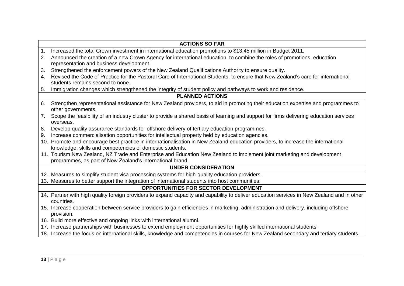| <b>ACTIONS SO FAR</b>                       |                                                                                                                                                                       |  |  |  |
|---------------------------------------------|-----------------------------------------------------------------------------------------------------------------------------------------------------------------------|--|--|--|
| 1.                                          | Increased the total Crown investment in international education promotions to \$13.45 million in Budget 2011.                                                         |  |  |  |
| 2.                                          | Announced the creation of a new Crown Agency for international education, to combine the roles of promotions, education<br>representation and business development.   |  |  |  |
| 3.                                          | Strengthened the enforcement powers of the New Zealand Qualifications Authority to ensure quality.                                                                    |  |  |  |
| 4.                                          | Revised the Code of Practice for the Pastoral Care of International Students, to ensure that New Zealand's care for international<br>students remains second to none. |  |  |  |
| 5.                                          | Immigration changes which strengthened the integrity of student policy and pathways to work and residence.                                                            |  |  |  |
|                                             | <b>PLANNED ACTIONS</b>                                                                                                                                                |  |  |  |
| 6.                                          | Strengthen representational assistance for New Zealand providers, to aid in promoting their education expertise and programmes to<br>other governments.               |  |  |  |
| 7.                                          | Scope the feasibility of an industry cluster to provide a shared basis of learning and support for firms delivering education services<br>overseas.                   |  |  |  |
| 8.                                          | Develop quality assurance standards for offshore delivery of tertiary education programmes.                                                                           |  |  |  |
| 9.                                          | Increase commercialisation opportunities for intellectual property held by education agencies.                                                                        |  |  |  |
|                                             | 10. Promote and encourage best practice in internationalisation in New Zealand education providers, to increase the international                                     |  |  |  |
|                                             | knowledge, skills and competencies of domestic students.                                                                                                              |  |  |  |
|                                             | 11. Tourism New Zealand, NZ Trade and Enterprise and Education New Zealand to implement joint marketing and development                                               |  |  |  |
|                                             | programmes, as part of New Zealand's international brand.                                                                                                             |  |  |  |
| <b>UNDER CONSIDERATION</b>                  |                                                                                                                                                                       |  |  |  |
|                                             | 12. Measures to simplify student visa processing systems for high-quality education providers.                                                                        |  |  |  |
|                                             | 13. Measures to better support the integration of international students into host communities.                                                                       |  |  |  |
| <b>OPPORTUNITIES FOR SECTOR DEVELOPMENT</b> |                                                                                                                                                                       |  |  |  |
|                                             | 14. Partner with high quality foreign providers to expand capacity and capability to deliver education services in New Zealand and in other<br>countries.             |  |  |  |
|                                             | 15. Increase cooperation between service providers to gain efficiencies in marketing, administration and delivery, including offshore<br>provision.                   |  |  |  |
|                                             | 16. Build more effective and ongoing links with international alumni.                                                                                                 |  |  |  |
|                                             | 17. Increase partnerships with businesses to extend employment opportunities for highly skilled international students.                                               |  |  |  |
|                                             | 18. Increase the focus on international skills, knowledge and competencies in courses for New Zealand secondary and tertiary students.                                |  |  |  |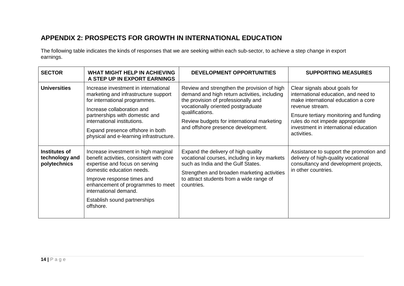# **APPENDIX 2: PROSPECTS FOR GROWTH IN INTERNATIONAL EDUCATION**

The following table indicates the kinds of responses that we are seeking within each sub-sector, to achieve a step change in export earnings.

| <b>SECTOR</b>                                   | <b>WHAT MIGHT HELP IN ACHIEVING</b><br>A STEP UP IN EXPORT EARNINGS                                                                                                                                                                                                                         | <b>DEVELOPMENT OPPORTUNITIES</b>                                                                                                                                                                                                                                                | <b>SUPPORTING MEASURES</b>                                                                                                                                                                                                                                           |
|-------------------------------------------------|---------------------------------------------------------------------------------------------------------------------------------------------------------------------------------------------------------------------------------------------------------------------------------------------|---------------------------------------------------------------------------------------------------------------------------------------------------------------------------------------------------------------------------------------------------------------------------------|----------------------------------------------------------------------------------------------------------------------------------------------------------------------------------------------------------------------------------------------------------------------|
| <b>Universities</b>                             | Increase investment in international<br>marketing and infrastructure support<br>for international programmes.<br>Increase collaboration and<br>partnerships with domestic and<br>international institutions.<br>Expand presence offshore in both<br>physical and e-learning infrastructure. | Review and strengthen the provision of high<br>demand and high return activities, including<br>the provision of professionally and<br>vocationally oriented postgraduate<br>qualifications.<br>Review budgets for international marketing<br>and offshore presence development. | Clear signals about goals for<br>international education, and need to<br>make international education a core<br>revenue stream.<br>Ensure tertiary monitoring and funding<br>rules do not impede appropriate<br>investment in international education<br>activities. |
| Institutes of<br>technology and<br>polytechnics | Increase investment in high marginal<br>benefit activities, consistent with core<br>expertise and focus on serving<br>domestic education needs.<br>Improve response times and<br>enhancement of programmes to meet<br>international demand.<br>Establish sound partnerships<br>offshore.    | Expand the delivery of high quality<br>vocational courses, including in key markets<br>such as India and the Gulf States.<br>Strengthen and broaden marketing activities<br>to attract students from a wide range of<br>countries.                                              | Assistance to support the promotion and<br>delivery of high-quality vocational<br>consultancy and development projects,<br>in other countries.                                                                                                                       |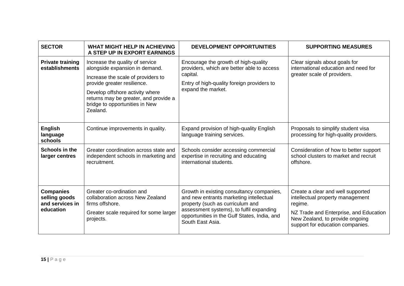| <b>SECTOR</b>                                                     | WHAT MIGHT HELP IN ACHIEVING<br>A STEP UP IN EXPORT EARNINGS                                                                                                                                                                                                     | <b>DEVELOPMENT OPPORTUNITIES</b>                                                                                                                                                                                                         | <b>SUPPORTING MEASURES</b>                                                                                                                                                                        |
|-------------------------------------------------------------------|------------------------------------------------------------------------------------------------------------------------------------------------------------------------------------------------------------------------------------------------------------------|------------------------------------------------------------------------------------------------------------------------------------------------------------------------------------------------------------------------------------------|---------------------------------------------------------------------------------------------------------------------------------------------------------------------------------------------------|
| <b>Private training</b><br>establishments                         | Increase the quality of service<br>alongside expansion in demand.<br>Increase the scale of providers to<br>provide greater resilience.<br>Develop offshore activity where<br>returns may be greater, and provide a<br>bridge to opportunities in New<br>Zealand. | Encourage the growth of high-quality<br>providers, which are better able to access<br>capital.<br>Entry of high-quality foreign providers to<br>expand the market.                                                                       | Clear signals about goals for<br>international education and need for<br>greater scale of providers.                                                                                              |
| <b>English</b><br>language<br>schools                             | Continue improvements in quality.                                                                                                                                                                                                                                | Expand provision of high-quality English<br>language training services.                                                                                                                                                                  | Proposals to simplify student visa<br>processing for high-quality providers.                                                                                                                      |
| <b>Schools in the</b><br>larger centres                           | Greater coordination across state and<br>independent schools in marketing and<br>recruitment.                                                                                                                                                                    | Schools consider accessing commercial<br>expertise in recruiting and educating<br>international students.                                                                                                                                | Consideration of how to better support<br>school clusters to market and recruit<br>offshore.                                                                                                      |
| <b>Companies</b><br>selling goods<br>and services in<br>education | Greater co-ordination and<br>collaboration across New Zealand<br>firms offshore.<br>Greater scale required for some larger<br>projects.                                                                                                                          | Growth in existing consultancy companies,<br>and new entrants marketing intellectual<br>property (such as curriculum and<br>assessment systems), to fulfil expanding<br>opportunities in the Gulf States, India, and<br>South East Asia. | Create a clear and well supported<br>intellectual property management<br>regime.<br>NZ Trade and Enterprise, and Education<br>New Zealand, to provide ongoing<br>support for education companies. |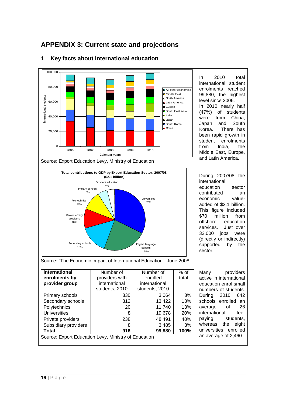# **APPENDIX 3: Current state and projections**



#### **1 Key facts about international education**

In 2010 total international student enrolments reached 99,880, the highest level since 2006. In 2010 nearly half (47%) of students were from China, Japan and South Korea. There has been rapid growth in student enrolments from India, the Middle East, Europe, and Latin America.

**Total contributions to GDP by Export Education Sector, 2007/08 (\$2.1 billion)** Universities 32% econdary schools 15% Private tertiary providers 10% Offshore education  $4%$ English language schools 24% Primary schools 5% Polytechnics 10%

During 2007/08 the international education sector contributed an economic valueadded of \$2.1 billion. This figure included \$70 million from offshore education services. Just over 32,000 jobs were (directly or indirectly) supported by the sector.

Source: "The Economic Impact of International Education", June 2008

| <b>International</b>                                 | Number of                  | Number of      | $%$ of     |
|------------------------------------------------------|----------------------------|----------------|------------|
| enrolments by                                        | providers with<br>enrolled |                | total      |
| provider group                                       | international              | international  |            |
|                                                      | students, 2010             | students, 2010 |            |
| Primary schools                                      | 330                        | 3,064          | 3%         |
| Secondary schools                                    | 312                        | 13,422         | 13%        |
| Polytechnics                                         | 20                         | 11,740         | 13%        |
| <b>Universities</b>                                  | 8                          | 19,678         | <b>20%</b> |
| Private providers                                    | 238                        | 48.491         | 48%        |
| Subsidiary providers                                 | 8                          | 3,485          | 3%         |
| Total                                                | 916                        | 99,880         | 100%       |
| Source: Export Education Levy, Ministry of Education |                            |                |            |

Many providers active in international education enrol small numbers of students. During 2010 642 schools enrolled an average of 26 international feepaying students, whereas the eight universities enrolled an average of 2,460.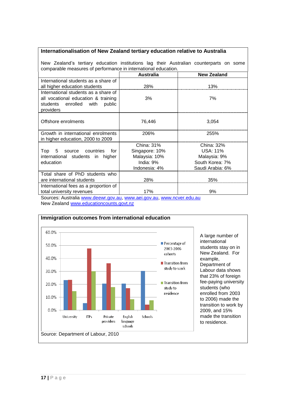#### **Internationalisation of New Zealand tertiary education relative to Australia**

New Zealand"s tertiary education institutions lag their Australian counterparts on some comparable measures of performance in international education.

|                                                                                                                              | <b>Australia</b> | <b>New Zealand</b> |
|------------------------------------------------------------------------------------------------------------------------------|------------------|--------------------|
| International students as a share of                                                                                         |                  |                    |
| all higher education students                                                                                                | 28%              | 13%                |
| International students as a share of<br>all vocational education & training<br>students enrolled with<br>public<br>providers | 3%               | 7%                 |
| Offshore enrolments                                                                                                          | 76,446           | 3,054              |
| Growth in international enrolments<br>in higher education, 2000 to 2009                                                      | 206%             | 255%               |
|                                                                                                                              | China: 31%       | China: 32%         |
| Top 5 source countries<br>for                                                                                                | Singapore: 10%   | USA: 11%           |
| international students in higher                                                                                             | Malaysia: 10%    | Malaysia: 9%       |
| education                                                                                                                    | India: $9\%$     | South Korea: 7%    |
|                                                                                                                              | Indonesia: 4%    | Saudi Arabia: 6%   |
| Total share of PhD students who                                                                                              |                  |                    |
| are international students                                                                                                   | 28%              | 35%                |
| International fees as a proportion of                                                                                        |                  |                    |
| total university revenues                                                                                                    | 17%              | 9%                 |

Sources: Australia [www.deewr.gov.au,](http://www.deewr.gov.au/) [www.aei.gov.au,](http://www.aei.gov.au/) [www.ncver.edu.au](http://www.ncver.edu.au/) New Zealand [www.educationcounts.govt.nz](http://www.educationcounts.govt.nz/)